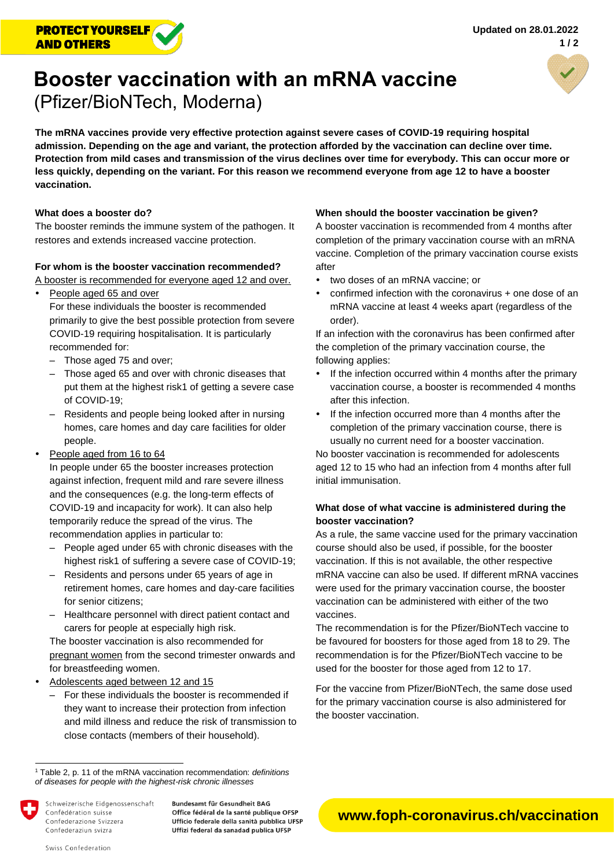

# **Booster vaccination with an mRNA vaccine**  (Pfizer/BioNTech, Moderna)



**The mRNA vaccines provide very effective protection against severe cases of COVID-19 requiring hospital admission. Depending on the age and variant, the protection afforded by the vaccination can decline over time. Protection from mild cases and transmission of the virus declines over time for everybody. This can occur more or less quickly, depending on the variant. For this reason we recommend everyone from age 12 to have a booster vaccination.**

### **What does a booster do?**

The booster reminds the immune system of the pathogen. It restores and extends increased vaccine protection.

#### **For whom is the booster vaccination recommended?**

A booster is recommended for everyone aged 12 and over.

People aged 65 and over

For these individuals the booster is recommended primarily to give the best possible protection from severe COVID-19 requiring hospitalisation. It is particularly recommended for:

- Those aged 75 and over:
- ‒ Those aged 65 and over with chronic diseases that put them at the highest risk1 of getting a severe case of COVID-19;
- ‒ Residents and people being looked after in nursing homes, care homes and day care facilities for older people.
- People aged from 16 to 64

In people under 65 the booster increases protection against infection, frequent mild and rare severe illness and the consequences (e.g. the long-term effects of COVID-19 and incapacity for work). It can also help temporarily reduce the spread of the virus. The recommendation applies in particular to:

- ‒ People aged under 65 with chronic diseases with the highest risk1 of suffering a severe case of COVID-19;
- ‒ Residents and persons under 65 years of age in retirement homes, care homes and day-care facilities for senior citizens;
- ‒ Healthcare personnel with direct patient contact and carers for people at especially high risk.

The booster vaccination is also recommended for pregnant women from the second trimester onwards and for breastfeeding women.

- Adolescents aged between 12 and 15
	- ‒ For these individuals the booster is recommended if they want to increase their protection from infection and mild illness and reduce the risk of transmission to close contacts (members of their household).

Schweizerische Eidgenossenschaft Confédération suisse Confederazione Svizzera Confederaziun svizra

**Bundesamt für Gesundheit BAG** Office fédéral de la santé publique OFSP Ufficio federale della sanità pubblica UFSP Uffizi federal da sanadad publica UFSP

#### **When should the booster vaccination be given?**

A booster vaccination is recommended from 4 months after completion of the primary vaccination course with an mRNA vaccine. Completion of the primary vaccination course exists after

- two doses of an mRNA vaccine; or
- confirmed infection with the coronavirus + one dose of an mRNA vaccine at least 4 weeks apart (regardless of the order).

If an infection with the coronavirus has been confirmed after the completion of the primary vaccination course, the following applies:

- If the infection occurred within 4 months after the primary vaccination course, a booster is recommended 4 months after this infection.
- If the infection occurred more than 4 months after the completion of the primary vaccination course, there is usually no current need for a booster vaccination.

No booster vaccination is recommended for adolescents aged 12 to 15 who had an infection from 4 months after full initial immunisation.

## **What dose of what vaccine is administered during the booster vaccination?**

As a rule, the same vaccine used for the primary vaccination course should also be used, if possible, for the booster vaccination. If this is not available, the other respective mRNA vaccine can also be used. If different mRNA vaccines were used for the primary vaccination course, the booster vaccination can be administered with either of the two vaccines.

The recommendation is for the Pfizer/BioNTech vaccine to be favoured for boosters for those aged from 18 to 29. The recommendation is for the Pfizer/BioNTech vaccine to be used for the booster for those aged from 12 to 17.

For the vaccine from Pfizer/BioNTech, the same dose used for the primary vaccination course is also administered for the booster vaccination.

l

<sup>1</sup> Table 2, p. 11 of the mRNA vaccination recommendation: *[definitions](https://www.bag.admin.ch/dam/bag/de/dokumente/mt/k-und-i/aktuelle-ausbrueche-pandemien/2019-nCoV/covid-19-tabelle-2-impfempfehlung.pdf.download.pdf/Krankheitsdefinitionen%20f%C3%BCr%20Personen%20mit%20chronischen%20Krankheiten%20mit%20dem%20h%C3%B6chsten%20Risiko%20-%20Tabelle%202%20der%20Covid-19%20mRNA-Impfempfehlung.pdf)  [of diseases for people with the highest-risk chronic illnesses](https://www.bag.admin.ch/dam/bag/de/dokumente/mt/k-und-i/aktuelle-ausbrueche-pandemien/2019-nCoV/covid-19-tabelle-2-impfempfehlung.pdf.download.pdf/Krankheitsdefinitionen%20f%C3%BCr%20Personen%20mit%20chronischen%20Krankheiten%20mit%20dem%20h%C3%B6chsten%20Risiko%20-%20Tabelle%202%20der%20Covid-19%20mRNA-Impfempfehlung.pdf)*